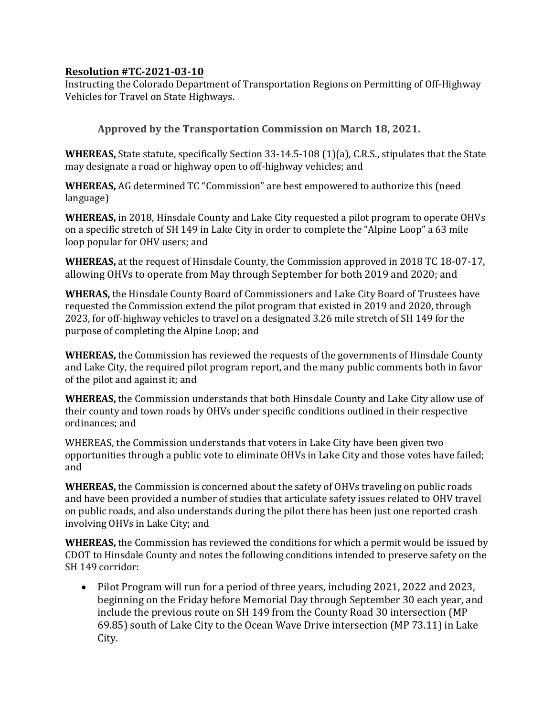## **Resolution #TC-2021-03-10**

Instructing the Colorado Department of Transportation Regions on Permitting of Off-Highway Vehicles for Travel on State Highways.

**Approved by the Transportation Commission on March 18, 2021.** 

**WHEREAS,** State statute, specifically Section 33-14.5-108 (1)(a), C.R.S., stipulates that the State may designate a road or highway open to off-highway vehicles; and

**WHEREAS,** AG determined TC "Commission" are best empowered to authorize this (need language)

**WHEREAS,** in 2018, Hinsdale County and Lake City requested a pilot program to operate OHVs on a specific stretch of SH 149 in Lake City in order to complete the "Alpine Loop" a 63 mile loop popular for OHV users; and

**WHEREAS,** at the request of Hinsdale County, the Commission approved in 2018 TC 18-07-17, allowing OHVs to operate from May through September for both 2019 and 2020; and

**WHERAS,** the Hinsdale County Board of Commissioners and Lake City Board of Trustees have requested the Commission extend the pilot program that existed in 2019 and 2020, through 2023, for off-highway vehicles to travel on a designated 3.26 mile stretch of SH 149 for the purpose of completing the Alpine Loop; and

**WHEREAS,** the Commission has reviewed the requests of the governments of Hinsdale County and Lake City, the required pilot program report, and the many public comments both in favor of the pilot and against it; and

**WHEREAS,** the Commission understands that both Hinsdale County and Lake City allow use of their county and town roads by OHVs under specific conditions outlined in their respective ordinances; and

WHEREAS, the Commission understands that voters in Lake City have been given two opportunities through a public vote to eliminate OHVs in Lake City and those votes have failed; and

**WHEREAS,** the Commission is concerned about the safety of OHVs traveling on public roads and have been provided a number of studies that articulate safety issues related to OHV travel on public roads, and also understands during the pilot there has been just one reported crash involving OHVs in Lake City; and

**WHEREAS,** the Commission has reviewed the conditions for which a permit would be issued by CDOT to Hinsdale County and notes the following conditions intended to preserve safety on the SH 149 corridor:

• Pilot Program will run for a period of three years, including 2021, 2022 and 2023, beginning on the Friday before Memorial Day through September 30 each year, and include the previous route on SH 149 from the County Road 30 intersection (MP 69.85) south of Lake City to the Ocean Wave Drive intersection (MP 73.11) in Lake City.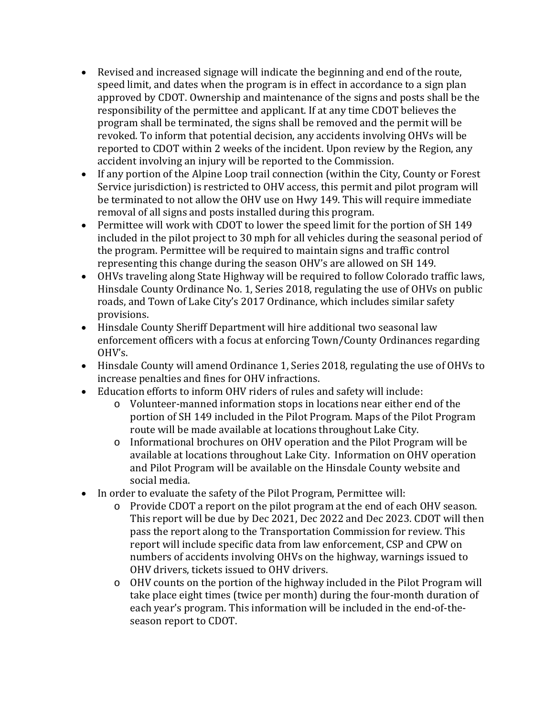- Revised and increased signage will indicate the beginning and end of the route, speed limit, and dates when the program is in effect in accordance to a sign plan approved by CDOT. Ownership and maintenance of the signs and posts shall be the responsibility of the permittee and applicant. If at any time CDOT believes the program shall be terminated, the signs shall be removed and the permit will be revoked. To inform that potential decision, any accidents involving OHVs will be reported to CDOT within 2 weeks of the incident. Upon review by the Region, any accident involving an injury will be reported to the Commission.
- If any portion of the Alpine Loop trail connection (within the City, County or Forest Service jurisdiction) is restricted to OHV access, this permit and pilot program will be terminated to not allow the OHV use on Hwy 149. This will require immediate removal of all signs and posts installed during this program.
- Permittee will work with CDOT to lower the speed limit for the portion of SH 149 included in the pilot project to 30 mph for all vehicles during the seasonal period of the program. Permittee will be required to maintain signs and traffic control representing this change during the season OHV's are allowed on SH 149.
- OHVs traveling along State Highway will be required to follow Colorado traffic laws, Hinsdale County Ordinance No. 1, Series 2018, regulating the use of OHVs on public roads, and Town of Lake City's 2017 Ordinance, which includes similar safety provisions.
- Hinsdale County Sheriff Department will hire additional two seasonal law enforcement officers with a focus at enforcing Town/County Ordinances regarding OHV's.
- Hinsdale County will amend Ordinance 1, Series 2018, regulating the use of OHVs to increase penalties and fines for OHV infractions.
- Education efforts to inform OHV riders of rules and safety will include:
	- o Volunteer-manned information stops in locations near either end of the portion of SH 149 included in the Pilot Program. Maps of the Pilot Program route will be made available at locations throughout Lake City.
	- o Informational brochures on OHV operation and the Pilot Program will be available at locations throughout Lake City. Information on OHV operation and Pilot Program will be available on the Hinsdale County website and social media.
- In order to evaluate the safety of the Pilot Program, Permittee will:
	- o Provide CDOT a report on the pilot program at the end of each OHV season. This report will be due by Dec 2021, Dec 2022 and Dec 2023. CDOT will then pass the report along to the Transportation Commission for review. This report will include specific data from law enforcement, CSP and CPW on numbers of accidents involving OHVs on the highway, warnings issued to OHV drivers, tickets issued to OHV drivers.
	- o OHV counts on the portion of the highway included in the Pilot Program will take place eight times (twice per month) during the four-month duration of each year's program. This information will be included in the end-of-theseason report to CDOT.